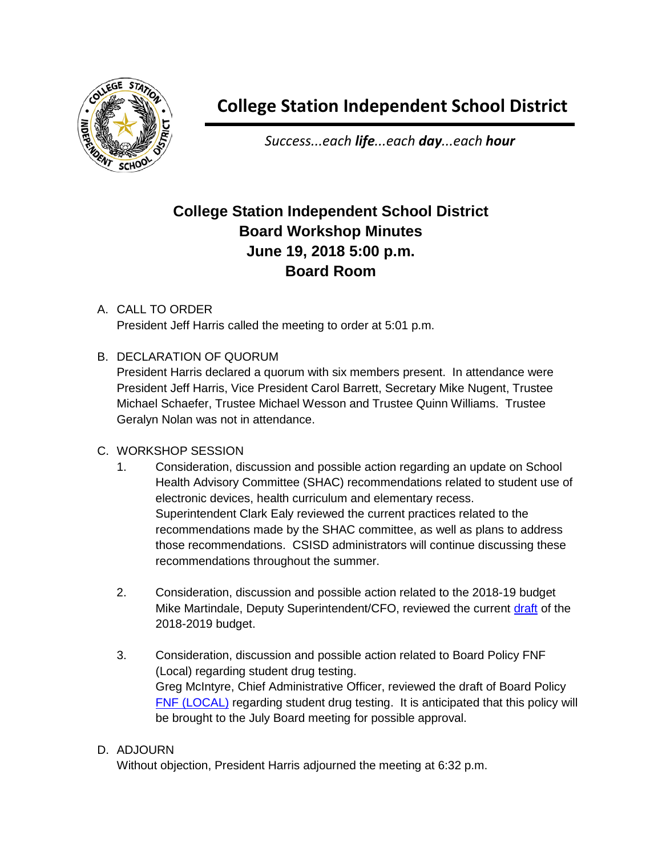

*Success...each life...each day...each hour*

# **College Station Independent School District Board Workshop Minutes June 19, 2018 5:00 p.m. Board Room**

# A. CALL TO ORDER

President Jeff Harris called the meeting to order at 5:01 p.m.

# B. DECLARATION OF QUORUM

President Harris declared a quorum with six members present. In attendance were President Jeff Harris, Vice President Carol Barrett, Secretary Mike Nugent, Trustee Michael Schaefer, Trustee Michael Wesson and Trustee Quinn Williams. Trustee Geralyn Nolan was not in attendance.

# C. WORKSHOP SESSION

- 1. Consideration, discussion and possible action regarding an update on School Health Advisory Committee (SHAC) recommendations related to student use of electronic devices, health curriculum and elementary recess. Superintendent Clark Ealy reviewed the current practices related to the recommendations made by the SHAC committee, as well as plans to address those recommendations. CSISD administrators will continue discussing these recommendations throughout the summer.
- 2. Consideration, discussion and possible action related to the 2018-19 budget Mike Martindale, Deputy Superintendent/CFO, reviewed the current [draft](http://web.csisd.org/school_board/agendas/2018-2019/July/Martindale18-19BudgetDevelopment6.19.18BoardWorkshop.pdf) of the 2018-2019 budget.
- 3. Consideration, discussion and possible action related to Board Policy FNF (Local) regarding student drug testing. Greg McIntyre, Chief Administrative Officer, reviewed the draft of Board Policy [FNF \(LOCAL\)](http://web.csisd.org/school_board/agendas/2018-2019/July/Greg-HighlightedFNF_DrugTestingPolicy.pdf) regarding student drug testing. It is anticipated that this policy will be brought to the July Board meeting for possible approval.

# D. ADJOURN

Without objection, President Harris adjourned the meeting at 6:32 p.m.